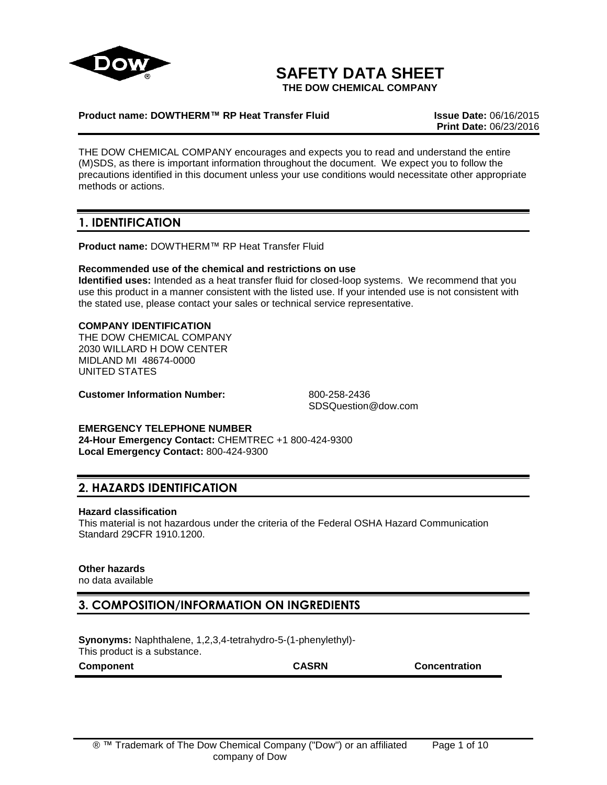

# **SAFETY DATA SHEET**

**THE DOW CHEMICAL COMPANY**

### **Product name: DOWTHERM™ RP Heat Transfer Fluid Issue Date:** 06/16/2015

**Print Date:** 06/23/2016

THE DOW CHEMICAL COMPANY encourages and expects you to read and understand the entire (M)SDS, as there is important information throughout the document. We expect you to follow the precautions identified in this document unless your use conditions would necessitate other appropriate methods or actions.

# **1. IDENTIFICATION**

**Product name:** DOWTHERM™ RP Heat Transfer Fluid

## **Recommended use of the chemical and restrictions on use**

**Identified uses:** Intended as a heat transfer fluid for closed-loop systems. We recommend that you use this product in a manner consistent with the listed use. If your intended use is not consistent with the stated use, please contact your sales or technical service representative.

## **COMPANY IDENTIFICATION**

THE DOW CHEMICAL COMPANY 2030 WILLARD H DOW CENTER MIDLAND MI 48674-0000 UNITED STATES

**Customer Information Number:** 800-258-2436

SDSQuestion@dow.com

## **EMERGENCY TELEPHONE NUMBER**

**24-Hour Emergency Contact:** CHEMTREC +1 800-424-9300 **Local Emergency Contact:** 800-424-9300

## **2. HAZARDS IDENTIFICATION**

#### **Hazard classification**

This material is not hazardous under the criteria of the Federal OSHA Hazard Communication Standard 29CFR 1910.1200.

#### **Other hazards**

no data available

# **3. COMPOSITION/INFORMATION ON INGREDIENTS**

**Synonyms:** Naphthalene, 1,2,3,4-tetrahydro-5-(1-phenylethyl)- This product is a substance. **Component CASRN Concentration**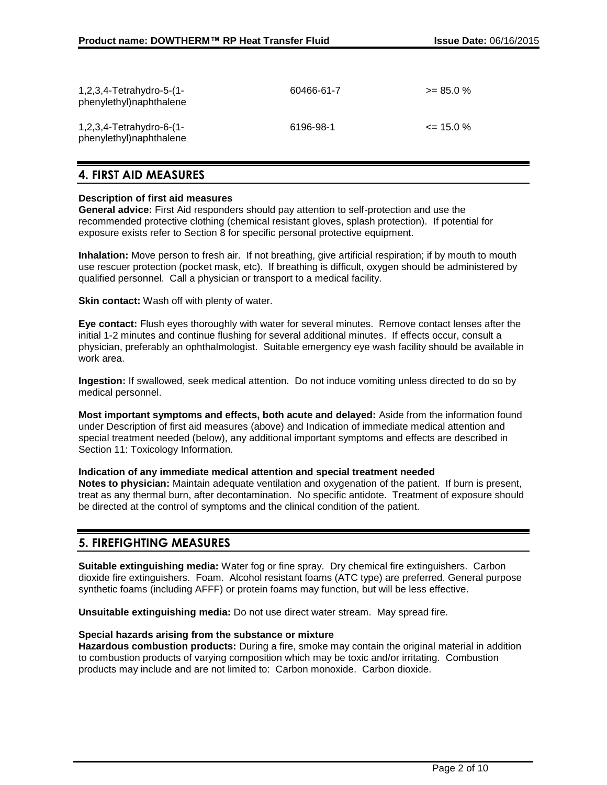| $1,2,3,4$ -Tetrahydro-5-(1-<br>phenylethyl) naphthalene | 60466-61-7 | $>= 85.0 \%$  |
|---------------------------------------------------------|------------|---------------|
| 1,2,3,4-Tetrahydro-6-(1-<br>phenylethyl)naphthalene     | 6196-98-1  | $\leq$ 15.0 % |

## **4. FIRST AID MEASURES**

## **Description of first aid measures**

**General advice:** First Aid responders should pay attention to self-protection and use the recommended protective clothing (chemical resistant gloves, splash protection). If potential for exposure exists refer to Section 8 for specific personal protective equipment.

**Inhalation:** Move person to fresh air. If not breathing, give artificial respiration; if by mouth to mouth use rescuer protection (pocket mask, etc). If breathing is difficult, oxygen should be administered by qualified personnel. Call a physician or transport to a medical facility.

**Skin contact:** Wash off with plenty of water.

**Eye contact:** Flush eyes thoroughly with water for several minutes. Remove contact lenses after the initial 1-2 minutes and continue flushing for several additional minutes. If effects occur, consult a physician, preferably an ophthalmologist. Suitable emergency eye wash facility should be available in work area.

**Ingestion:** If swallowed, seek medical attention. Do not induce vomiting unless directed to do so by medical personnel.

**Most important symptoms and effects, both acute and delayed:** Aside from the information found under Description of first aid measures (above) and Indication of immediate medical attention and special treatment needed (below), any additional important symptoms and effects are described in Section 11: Toxicology Information.

#### **Indication of any immediate medical attention and special treatment needed**

**Notes to physician:** Maintain adequate ventilation and oxygenation of the patient. If burn is present, treat as any thermal burn, after decontamination. No specific antidote. Treatment of exposure should be directed at the control of symptoms and the clinical condition of the patient.

# **5. FIREFIGHTING MEASURES**

**Suitable extinguishing media:** Water fog or fine spray. Dry chemical fire extinguishers. Carbon dioxide fire extinguishers. Foam. Alcohol resistant foams (ATC type) are preferred. General purpose synthetic foams (including AFFF) or protein foams may function, but will be less effective.

**Unsuitable extinguishing media:** Do not use direct water stream. May spread fire.

#### **Special hazards arising from the substance or mixture**

**Hazardous combustion products:** During a fire, smoke may contain the original material in addition to combustion products of varying composition which may be toxic and/or irritating. Combustion products may include and are not limited to: Carbon monoxide. Carbon dioxide.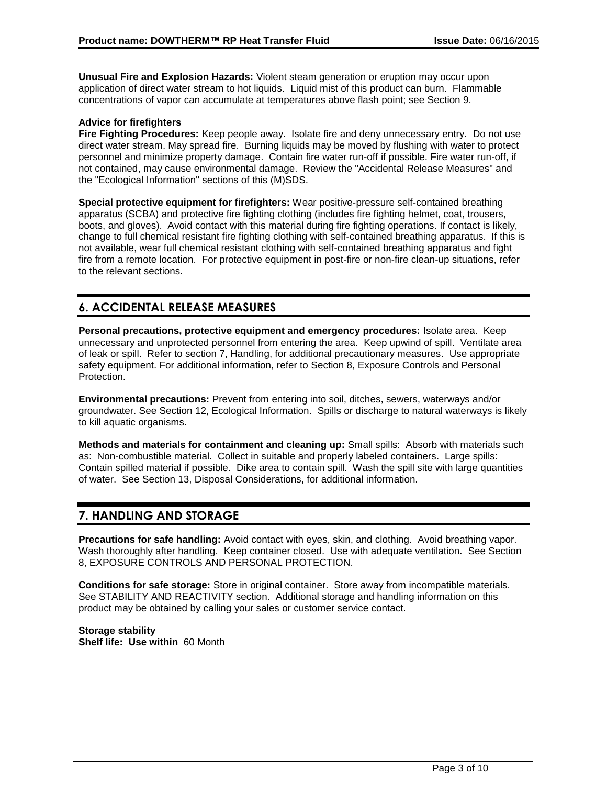**Unusual Fire and Explosion Hazards:** Violent steam generation or eruption may occur upon application of direct water stream to hot liquids. Liquid mist of this product can burn. Flammable concentrations of vapor can accumulate at temperatures above flash point; see Section 9.

## **Advice for firefighters**

**Fire Fighting Procedures:** Keep people away. Isolate fire and deny unnecessary entry. Do not use direct water stream. May spread fire. Burning liquids may be moved by flushing with water to protect personnel and minimize property damage. Contain fire water run-off if possible. Fire water run-off, if not contained, may cause environmental damage. Review the "Accidental Release Measures" and the "Ecological Information" sections of this (M)SDS.

**Special protective equipment for firefighters:** Wear positive-pressure self-contained breathing apparatus (SCBA) and protective fire fighting clothing (includes fire fighting helmet, coat, trousers, boots, and gloves). Avoid contact with this material during fire fighting operations. If contact is likely, change to full chemical resistant fire fighting clothing with self-contained breathing apparatus. If this is not available, wear full chemical resistant clothing with self-contained breathing apparatus and fight fire from a remote location. For protective equipment in post-fire or non-fire clean-up situations, refer to the relevant sections.

# **6. ACCIDENTAL RELEASE MEASURES**

**Personal precautions, protective equipment and emergency procedures:** Isolate area. Keep unnecessary and unprotected personnel from entering the area. Keep upwind of spill. Ventilate area of leak or spill. Refer to section 7, Handling, for additional precautionary measures. Use appropriate safety equipment. For additional information, refer to Section 8, Exposure Controls and Personal Protection.

**Environmental precautions:** Prevent from entering into soil, ditches, sewers, waterways and/or groundwater. See Section 12, Ecological Information. Spills or discharge to natural waterways is likely to kill aquatic organisms.

**Methods and materials for containment and cleaning up:** Small spills: Absorb with materials such as: Non-combustible material. Collect in suitable and properly labeled containers. Large spills: Contain spilled material if possible. Dike area to contain spill. Wash the spill site with large quantities of water. See Section 13, Disposal Considerations, for additional information.

# **7. HANDLING AND STORAGE**

**Precautions for safe handling:** Avoid contact with eyes, skin, and clothing. Avoid breathing vapor. Wash thoroughly after handling. Keep container closed. Use with adequate ventilation. See Section 8, EXPOSURE CONTROLS AND PERSONAL PROTECTION.

**Conditions for safe storage:** Store in original container. Store away from incompatible materials. See STABILITY AND REACTIVITY section. Additional storage and handling information on this product may be obtained by calling your sales or customer service contact.

**Storage stability Shelf life: Use within** 60 Month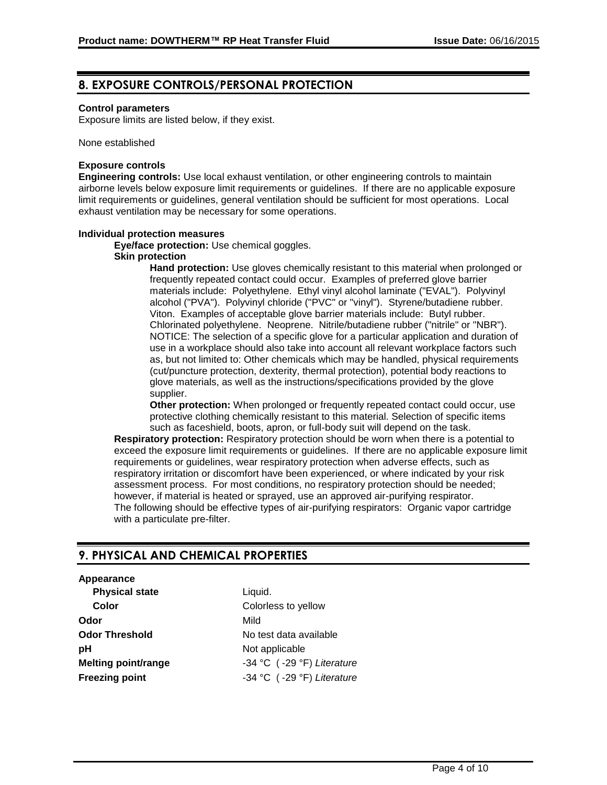## **8. EXPOSURE CONTROLS/PERSONAL PROTECTION**

#### **Control parameters**

Exposure limits are listed below, if they exist.

None established

#### **Exposure controls**

**Engineering controls:** Use local exhaust ventilation, or other engineering controls to maintain airborne levels below exposure limit requirements or guidelines. If there are no applicable exposure limit requirements or guidelines, general ventilation should be sufficient for most operations. Local exhaust ventilation may be necessary for some operations.

#### **Individual protection measures**

**Eye/face protection:** Use chemical goggles.

**Skin protection**

**Hand protection:** Use gloves chemically resistant to this material when prolonged or frequently repeated contact could occur. Examples of preferred glove barrier materials include: Polyethylene. Ethyl vinyl alcohol laminate ("EVAL"). Polyvinyl alcohol ("PVA"). Polyvinyl chloride ("PVC" or "vinyl"). Styrene/butadiene rubber. Viton. Examples of acceptable glove barrier materials include: Butyl rubber. Chlorinated polyethylene. Neoprene. Nitrile/butadiene rubber ("nitrile" or "NBR"). NOTICE: The selection of a specific glove for a particular application and duration of use in a workplace should also take into account all relevant workplace factors such as, but not limited to: Other chemicals which may be handled, physical requirements (cut/puncture protection, dexterity, thermal protection), potential body reactions to glove materials, as well as the instructions/specifications provided by the glove supplier.

**Other protection:** When prolonged or frequently repeated contact could occur, use protective clothing chemically resistant to this material. Selection of specific items such as faceshield, boots, apron, or full-body suit will depend on the task.

**Respiratory protection:** Respiratory protection should be worn when there is a potential to exceed the exposure limit requirements or guidelines. If there are no applicable exposure limit requirements or guidelines, wear respiratory protection when adverse effects, such as respiratory irritation or discomfort have been experienced, or where indicated by your risk assessment process. For most conditions, no respiratory protection should be needed; however, if material is heated or sprayed, use an approved air-purifying respirator. The following should be effective types of air-purifying respirators: Organic vapor cartridge with a particulate pre-filter.

## **9. PHYSICAL AND CHEMICAL PROPERTIES**

#### **Appearance**

**Physical state** Liquid. **Odor** Mild **pH** Not applicable

**Color** Colorless to yellow **Odor Threshold** No test data available **Melting point/range** -34 °C ( -29 °F) *Literature* **Freezing point** -34 °C ( -29 °F) *Literature*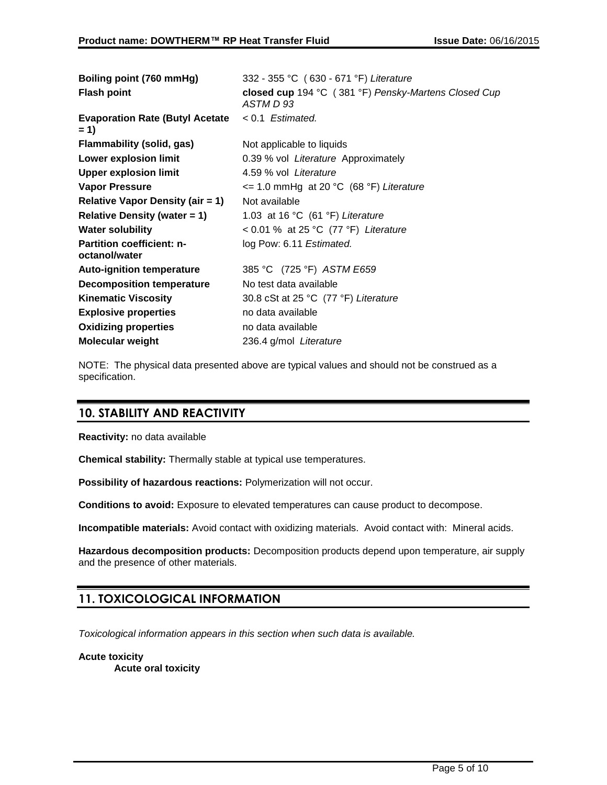| Boiling point (760 mmHg)                          | 332 - 355 °C (630 - 671 °F) Literature                           |
|---------------------------------------------------|------------------------------------------------------------------|
| <b>Flash point</b>                                | closed cup 194 °C (381 °F) Pensky-Martens Closed Cup<br>ASTM D93 |
| <b>Evaporation Rate (Butyl Acetate</b><br>$= 1$   | $< 0.1$ Estimated.                                               |
| <b>Flammability (solid, gas)</b>                  | Not applicable to liquids                                        |
| <b>Lower explosion limit</b>                      | 0.39 % vol Literature Approximately                              |
| <b>Upper explosion limit</b>                      | 4.59 % vol Literature                                            |
| <b>Vapor Pressure</b>                             | $\epsilon$ = 1.0 mmHg at 20 °C (68 °F) Literature                |
| <b>Relative Vapor Density (air = 1)</b>           | Not available                                                    |
| <b>Relative Density (water = 1)</b>               | 1.03 at 16 °C (61 °F) Literature                                 |
| <b>Water solubility</b>                           | < 0.01 % at 25 °C (77 °F) Literature                             |
| <b>Partition coefficient: n-</b><br>octanol/water | log Pow: 6.11 Estimated.                                         |
| <b>Auto-ignition temperature</b>                  | 385 °C (725 °F) ASTM E659                                        |
| <b>Decomposition temperature</b>                  | No test data available                                           |
| <b>Kinematic Viscosity</b>                        | 30.8 cSt at 25 °C (77 °F) Literature                             |
| <b>Explosive properties</b>                       | no data available                                                |
| <b>Oxidizing properties</b>                       | no data available                                                |
| <b>Molecular weight</b>                           | 236.4 g/mol Literature                                           |

NOTE: The physical data presented above are typical values and should not be construed as a specification.

# **10. STABILITY AND REACTIVITY**

**Reactivity:** no data available

**Chemical stability:** Thermally stable at typical use temperatures.

**Possibility of hazardous reactions:** Polymerization will not occur.

**Conditions to avoid:** Exposure to elevated temperatures can cause product to decompose.

**Incompatible materials:** Avoid contact with oxidizing materials. Avoid contact with: Mineral acids.

**Hazardous decomposition products:** Decomposition products depend upon temperature, air supply and the presence of other materials.

# **11. TOXICOLOGICAL INFORMATION**

*Toxicological information appears in this section when such data is available.*

## **Acute toxicity**

**Acute oral toxicity**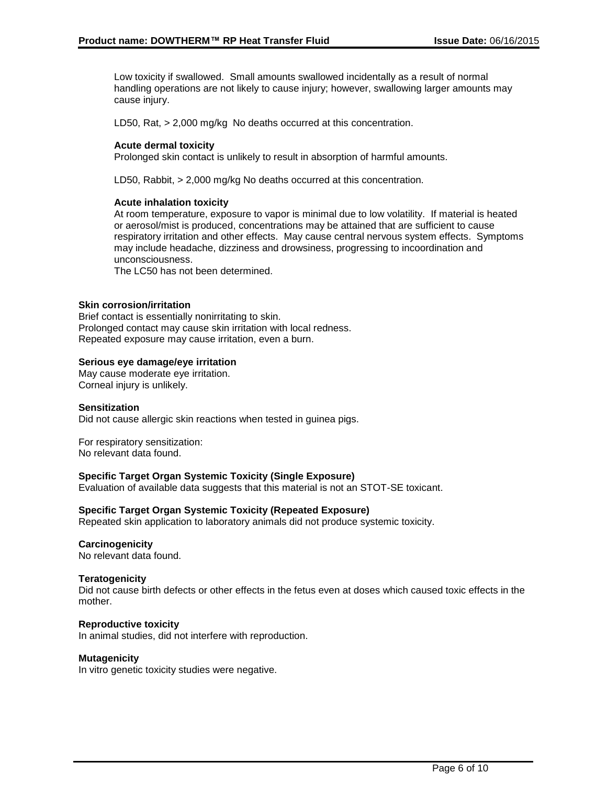Low toxicity if swallowed. Small amounts swallowed incidentally as a result of normal handling operations are not likely to cause injury; however, swallowing larger amounts may cause injury.

LD50, Rat, > 2,000 mg/kg No deaths occurred at this concentration.

#### **Acute dermal toxicity**

Prolonged skin contact is unlikely to result in absorption of harmful amounts.

LD50, Rabbit, > 2,000 mg/kg No deaths occurred at this concentration.

#### **Acute inhalation toxicity**

At room temperature, exposure to vapor is minimal due to low volatility. If material is heated or aerosol/mist is produced, concentrations may be attained that are sufficient to cause respiratory irritation and other effects. May cause central nervous system effects. Symptoms may include headache, dizziness and drowsiness, progressing to incoordination and unconsciousness.

The LC50 has not been determined.

#### **Skin corrosion/irritation**

Brief contact is essentially nonirritating to skin. Prolonged contact may cause skin irritation with local redness. Repeated exposure may cause irritation, even a burn.

## **Serious eye damage/eye irritation**

May cause moderate eye irritation. Corneal injury is unlikely.

#### **Sensitization**

Did not cause allergic skin reactions when tested in guinea pigs.

For respiratory sensitization: No relevant data found.

#### **Specific Target Organ Systemic Toxicity (Single Exposure)**

Evaluation of available data suggests that this material is not an STOT-SE toxicant.

#### **Specific Target Organ Systemic Toxicity (Repeated Exposure)**

Repeated skin application to laboratory animals did not produce systemic toxicity.

#### **Carcinogenicity**

No relevant data found.

#### **Teratogenicity**

Did not cause birth defects or other effects in the fetus even at doses which caused toxic effects in the mother.

#### **Reproductive toxicity**

In animal studies, did not interfere with reproduction.

#### **Mutagenicity**

In vitro genetic toxicity studies were negative.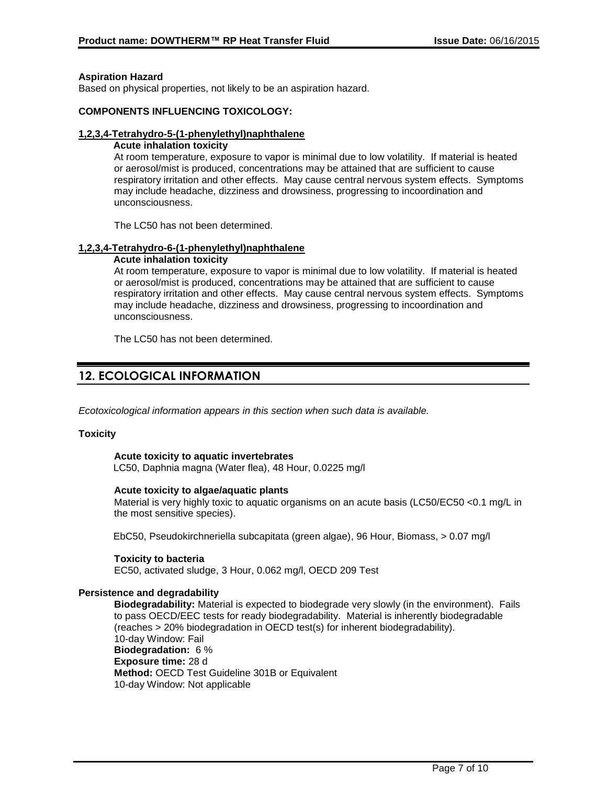### **Aspiration Hazard**

Based on physical properties, not likely to be an aspiration hazard.

### **COMPONENTS INFLUENCING TOXICOLOGY:**

#### **1,2,3,4-Tetrahydro-5-(1-phenylethyl)naphthalene**

**Acute inhalation toxicity**

At room temperature, exposure to vapor is minimal due to low volatility. If material is heated or aerosol/mist is produced, concentrations may be attained that are sufficient to cause respiratory irritation and other effects. May cause central nervous system effects. Symptoms may include headache, dizziness and drowsiness, progressing to incoordination and unconsciousness.

The LC50 has not been determined.

#### **1,2,3,4-Tetrahydro-6-(1-phenylethyl)naphthalene**

#### **Acute inhalation toxicity**

At room temperature, exposure to vapor is minimal due to low volatility. If material is heated or aerosol/mist is produced, concentrations may be attained that are sufficient to cause respiratory irritation and other effects. May cause central nervous system effects. Symptoms may include headache, dizziness and drowsiness, progressing to incoordination and unconsciousness.

The LC50 has not been determined.

# **12. ECOLOGICAL INFORMATION**

*Ecotoxicological information appears in this section when such data is available.*

#### **Toxicity**

#### **Acute toxicity to aquatic invertebrates**

LC50, Daphnia magna (Water flea), 48 Hour, 0.0225 mg/l

#### **Acute toxicity to algae/aquatic plants**

Material is very highly toxic to aquatic organisms on an acute basis (LC50/EC50 <0.1 mg/L in the most sensitive species).

EbC50, Pseudokirchneriella subcapitata (green algae), 96 Hour, Biomass, > 0.07 mg/l

## **Toxicity to bacteria**

EC50, activated sludge, 3 Hour, 0.062 mg/l, OECD 209 Test

#### **Persistence and degradability**

**Biodegradability:** Material is expected to biodegrade very slowly (in the environment). Fails to pass OECD/EEC tests for ready biodegradability. Material is inherently biodegradable (reaches > 20% biodegradation in OECD test(s) for inherent biodegradability). 10-day Window: Fail **Biodegradation:** 6 % **Exposure time:** 28 d **Method:** OECD Test Guideline 301B or Equivalent 10-day Window: Not applicable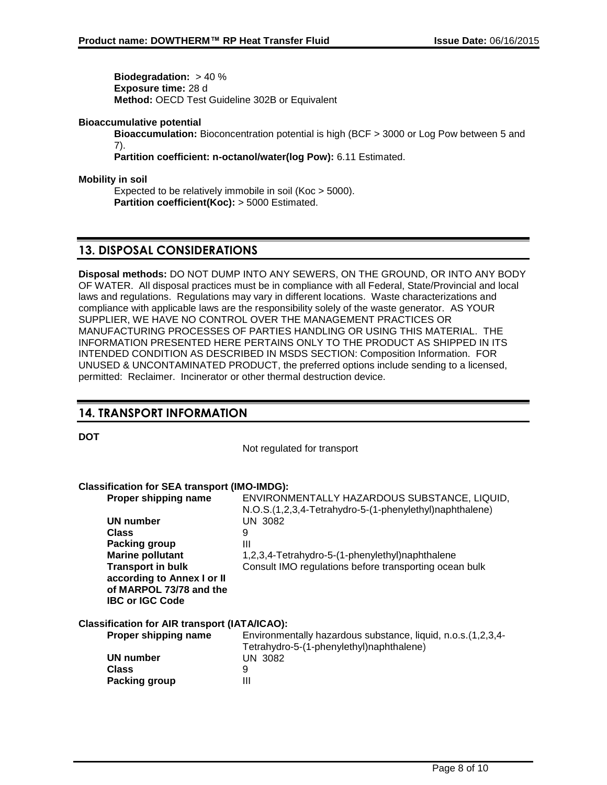**Biodegradation:** > 40 % **Exposure time:** 28 d **Method:** OECD Test Guideline 302B or Equivalent

## **Bioaccumulative potential**

**Bioaccumulation:** Bioconcentration potential is high (BCF > 3000 or Log Pow between 5 and 7).

**Partition coefficient: n-octanol/water(log Pow):** 6.11 Estimated.

## **Mobility in soil**

Expected to be relatively immobile in soil (Koc > 5000). **Partition coefficient(Koc):** > 5000 Estimated.

# **13. DISPOSAL CONSIDERATIONS**

**Disposal methods:** DO NOT DUMP INTO ANY SEWERS, ON THE GROUND, OR INTO ANY BODY OF WATER. All disposal practices must be in compliance with all Federal, State/Provincial and local laws and regulations. Regulations may vary in different locations. Waste characterizations and compliance with applicable laws are the responsibility solely of the waste generator. AS YOUR SUPPLIER, WE HAVE NO CONTROL OVER THE MANAGEMENT PRACTICES OR MANUFACTURING PROCESSES OF PARTIES HANDLING OR USING THIS MATERIAL. THE INFORMATION PRESENTED HERE PERTAINS ONLY TO THE PRODUCT AS SHIPPED IN ITS INTENDED CONDITION AS DESCRIBED IN MSDS SECTION: Composition Information. FOR UNUSED & UNCONTAMINATED PRODUCT, the preferred options include sending to a licensed, permitted: Reclaimer. Incinerator or other thermal destruction device.

# **14. TRANSPORT INFORMATION**

**DOT**

Not regulated for transport

## **Classification for SEA transport (IMO-IMDG):**

| Proper shipping name                                                            | ENVIRONMENTALLY HAZARDOUS SUBSTANCE, LIQUID,<br>N.O.S.(1,2,3,4-Tetrahydro-5-(1-phenylethyl)naphthalene)  |
|---------------------------------------------------------------------------------|----------------------------------------------------------------------------------------------------------|
| UN number                                                                       | UN 3082                                                                                                  |
| <b>Class</b>                                                                    | 9                                                                                                        |
| Packing group                                                                   | Ш                                                                                                        |
| <b>Marine pollutant</b>                                                         | 1,2,3,4-Tetrahydro-5-(1-phenylethyl)naphthalene                                                          |
| <b>Transport in bulk</b>                                                        | Consult IMO regulations before transporting ocean bulk                                                   |
| according to Annex I or II<br>of MARPOL 73/78 and the<br><b>IBC or IGC Code</b> |                                                                                                          |
| Classification for AIR transport (IATA/ICAO):                                   |                                                                                                          |
| Proper shipping name                                                            | Environmentally hazardous substance, liquid, n.o.s.(1,2,3,4-<br>Tetrahydro-5-(1-phenylethyl)naphthalene) |
| <b>UN number</b>                                                                | <b>UN 3082</b>                                                                                           |
| <b>Class</b>                                                                    | 9                                                                                                        |
| Packing group                                                                   | Ш                                                                                                        |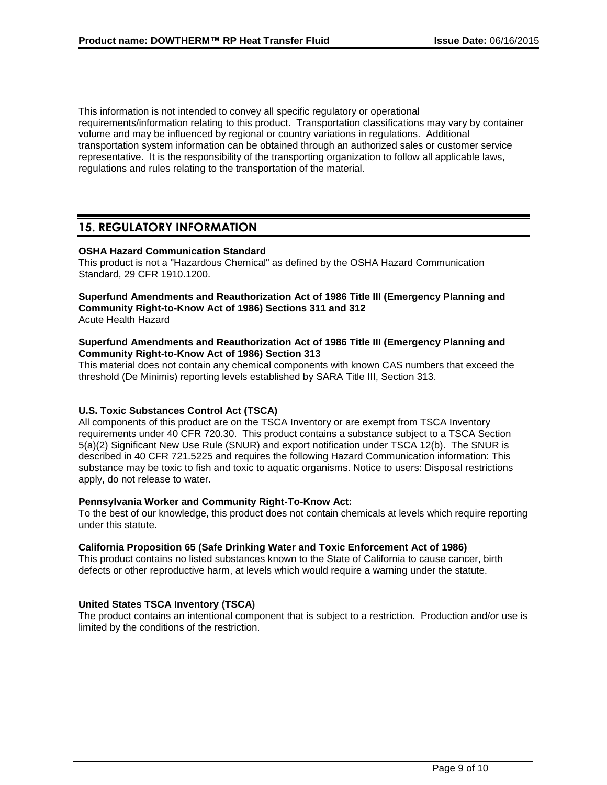This information is not intended to convey all specific regulatory or operational requirements/information relating to this product. Transportation classifications may vary by container volume and may be influenced by regional or country variations in regulations. Additional transportation system information can be obtained through an authorized sales or customer service representative. It is the responsibility of the transporting organization to follow all applicable laws, regulations and rules relating to the transportation of the material.

## **15. REGULATORY INFORMATION**

## **OSHA Hazard Communication Standard**

This product is not a "Hazardous Chemical" as defined by the OSHA Hazard Communication Standard, 29 CFR 1910.1200.

# **Superfund Amendments and Reauthorization Act of 1986 Title III (Emergency Planning and Community Right-to-Know Act of 1986) Sections 311 and 312**

Acute Health Hazard

## **Superfund Amendments and Reauthorization Act of 1986 Title III (Emergency Planning and Community Right-to-Know Act of 1986) Section 313**

This material does not contain any chemical components with known CAS numbers that exceed the threshold (De Minimis) reporting levels established by SARA Title III, Section 313.

## **U.S. Toxic Substances Control Act (TSCA)**

All components of this product are on the TSCA Inventory or are exempt from TSCA Inventory requirements under 40 CFR 720.30. This product contains a substance subject to a TSCA Section 5(a)(2) Significant New Use Rule (SNUR) and export notification under TSCA 12(b). The SNUR is described in 40 CFR 721.5225 and requires the following Hazard Communication information: This substance may be toxic to fish and toxic to aquatic organisms. Notice to users: Disposal restrictions apply, do not release to water.

#### **Pennsylvania Worker and Community Right-To-Know Act:**

To the best of our knowledge, this product does not contain chemicals at levels which require reporting under this statute.

#### **California Proposition 65 (Safe Drinking Water and Toxic Enforcement Act of 1986)**

This product contains no listed substances known to the State of California to cause cancer, birth defects or other reproductive harm, at levels which would require a warning under the statute.

## **United States TSCA Inventory (TSCA)**

The product contains an intentional component that is subject to a restriction. Production and/or use is limited by the conditions of the restriction.